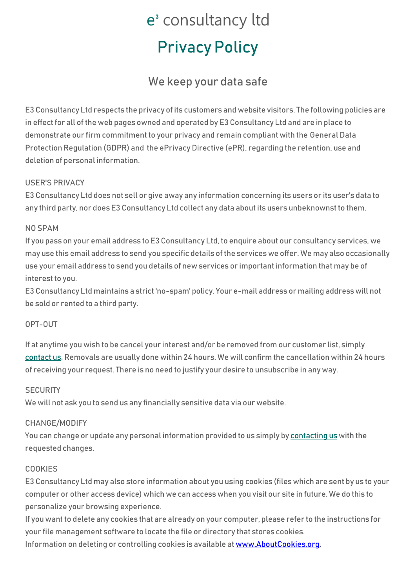# e<sup>3</sup> consultancy ltd Privacy Policy

### We keep your data safe

E3 Consultancy Ltd respects the privacy of its customers and website visitors. The following policies are in effect for all of the web pages owned and operated by E3 Consultancy Ltd and are in place to demonstrate our firm commitment to your privacy and remain compliant with the General Data Protection Regulation (GDPR) and the ePrivacy Directive (ePR), regarding the retention, use and deletion of personal information.

#### USER'S PRIVACY

E3 Consultancy Ltd does not sell or give away any information concerning its users or its user's data to any third party, nor does E3 Consultancy Ltd collect any data about its users unbeknownst to them.

#### NO SPAM

If you pass on your email address to E3 Consultancy Ltd, to enquire about our consultancy services, we may use this email address to send you specific details of the services we offer. We may also occasionally use your email address to send you details of new services or important information that may be of interest to you.

E3 Consultancy Ltd maintains a strict 'no-spam' policy. Your e-mail address or mailing address will not be sold or rented to a third party.

#### OPT-OUT

If at anytime you wish to be cancel your interest and/or be removed from our customer list, simply [contact us.](mailto:stuartc@e3consultancy.com) Removals are usually done within 24 hours. We will confirm the cancellation within 24 hours of receiving your request. There is no need to justify your desire to unsubscribe in any way.

#### **SECURITY**

We will not ask you to send us any financially sensitive data via our website.

#### CHANGE/MODIFY

You can change or update any personal information provided to us simply b[y contacting](mailto:stuartc@e3consultancy.com) us with the requested changes.

#### COOKIES

E3 Consultancy Ltd may also store information about you using cookies (files which are sent by us to your computer or other access device) which we can access when you visit our site in future. We do this to personalize your browsing experience.

If you want to delete any cookies that are already on your computer, please refer to the instructions for your file management software to locate the file or directory that stores cookies. Information on deleting or controlling cookies is available a[t www.AboutCookies.org.](http://www.aboutcookies.org/)